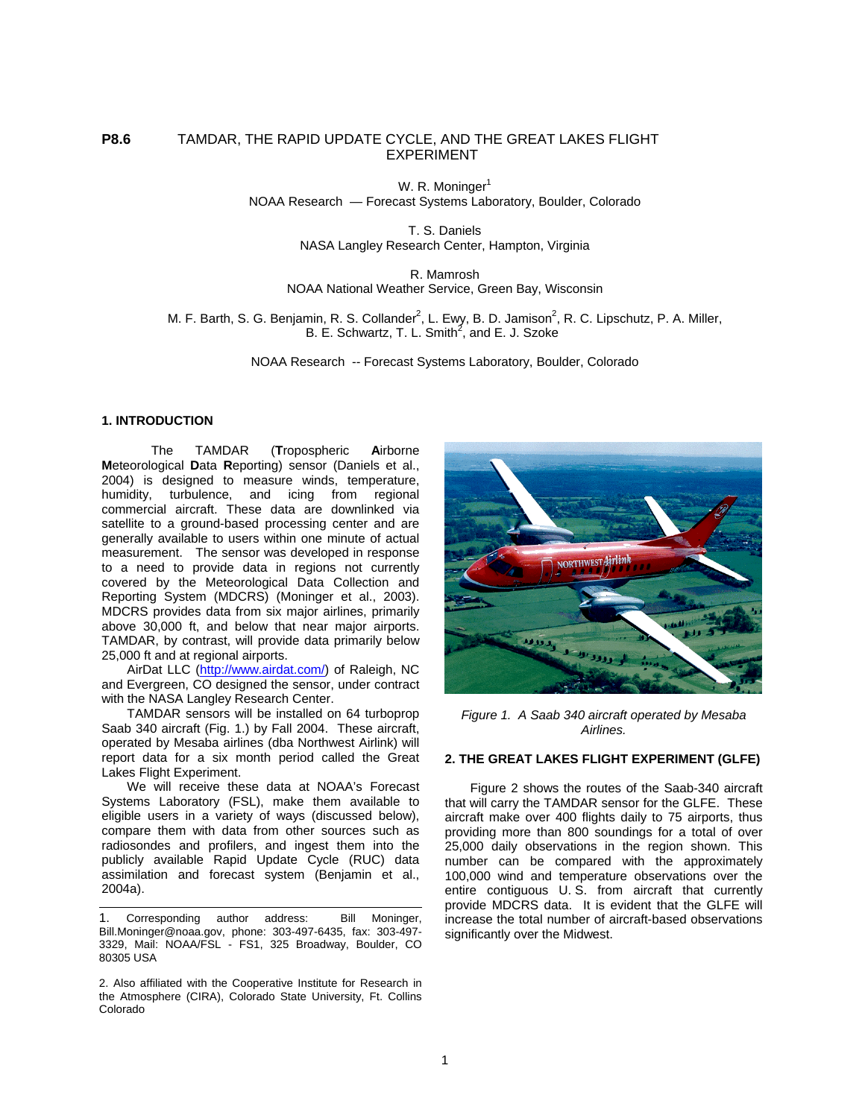# **P8.6** TAMDAR, THE RAPID UPDATE CYCLE, AND THE GREAT LAKES FLIGHT EXPERIMENT

W. R. Moninger<sup>1</sup> NOAA Research — Forecast Systems Laboratory, Boulder, Colorado

> T. S. Daniels NASA Langley Research Center, Hampton, Virginia

#### R. Mamrosh NOAA National Weather Service, Green Bay, Wisconsin

M. F. Barth, S. G. Benjamin, R. S. Collander<sup>2</sup>, L. Ewy, B. D. Jamison<sup>2</sup>, R. C. Lipschutz, P. A. Miller, B. E. Schwartz, T. L. Smith<sup>2</sup>, and E. J. Szoke

NOAA Research -- Forecast Systems Laboratory, Boulder, Colorado

#### **1. INTRODUCTION**

The TAMDAR (**T**ropospheric **A**irborne **M**eteorological **D**ata **R**eporting) sensor (Daniels et al., 2004) is designed to measure winds, temperature, humidity, turbulence, and icing from regional commercial aircraft. These data are downlinked via satellite to a ground-based processing center and are generally available to users within one minute of actual measurement. The sensor was developed in response to a need to provide data in regions not currently covered by the Meteorological Data Collection and Reporting System (MDCRS) (Moninger et al., 2003). MDCRS provides data from six major airlines, primarily above 30,000 ft, and below that near major airports. TAMDAR, by contrast, will provide data primarily below 25,000 ft and at regional airports.

AirDat LLC (<http://www.airdat.com/>) of Raleigh, NC and Evergreen, CO designed the sensor, under contract with the NASA Langley Research Center.

TAMDAR sensors will be installed on 64 turboprop Saab 340 aircraft (Fig. 1.) by Fall 2004. These aircraft, operated by Mesaba airlines (dba Northwest Airlink) will report data for a six month period called the Great Lakes Flight Experiment.

We will receive these data at NOAA's Forecast Systems Laboratory (FSL), make them available to eligible users in a variety of ways (discussed below), compare them with data from other sources such as radiosondes and profilers, and ingest them into the publicly available Rapid Update Cycle (RUC) data assimilation and forecast system (Benjamin et al., 2004a).

1. Corresponding author address: Bill Moninger, Bill.Moninger@noaa.gov, phone: 303-497-6435, fax: 303-497- 3329, Mail: NOAA/FSL - FS1, 325 Broadway, Boulder, CO 80305 USA

2. Also affiliated with the Cooperative Institute for Research in the Atmosphere (CIRA), Colorado State University, Ft. Collins Colorado



*Figure 1. A Saab 340 aircraft operated by Mesaba Airlines.* 

#### **2. THE GREAT LAKES FLIGHT EXPERIMENT (GLFE)**

Figure 2 shows the routes of the Saab-340 aircraft that will carry the TAMDAR sensor for the GLFE. These aircraft make over 400 flights daily to 75 airports, thus providing more than 800 soundings for a total of over 25,000 daily observations in the region shown. This number can be compared with the approximately 100,000 wind and temperature observations over the entire contiguous U. S. from aircraft that currently provide MDCRS data. It is evident that the GLFE will increase the total number of aircraft-based observations significantly over the Midwest.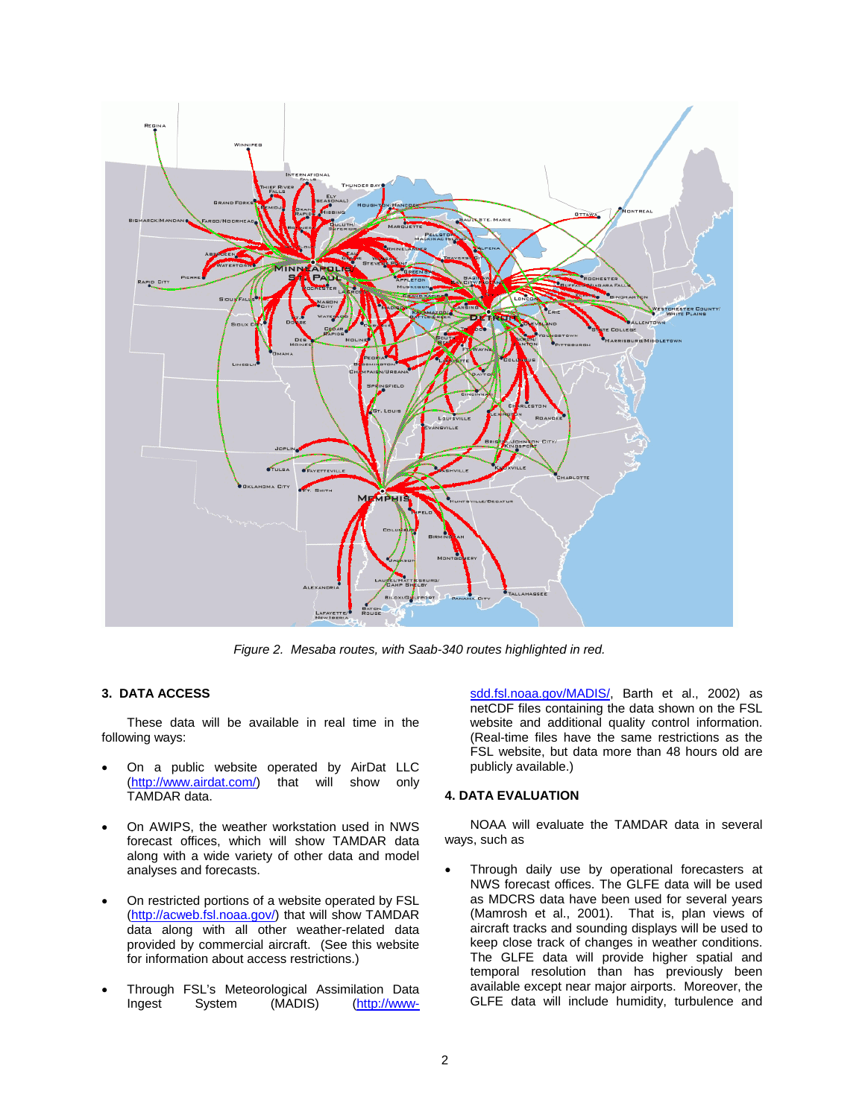

*Figure 2. Mesaba routes, with Saab-340 routes highlighted in red.* 

### **3. DATA ACCESS**

These data will be available in real time in the following ways:

- On a public website operated by AirDat LLC<br>(http://www.airdat.com/) that will show only that will show only TAMDAR data.
- On AWIPS, the weather workstation used in NWS forecast offices, which will show TAMDAR data along with a wide variety of other data and model analyses and forecasts.
- On restricted portions of a website operated by FSL ([http://acweb.fsl.noaa.gov/\)](http://acweb.fsl.noaa.gov/) that will show TAMDAR data along with all other weather-related data provided by commercial aircraft. (See this website for information about access restrictions.)
- Through FSL's Meteorological Assimilation Data<br>
Ingest System (MADIS) (http://www-Ingest System (MADIS) (http://www-

[sdd.fsl.noaa.gov/MADIS/,](http://www-sdd.fsl.noaa.gov/MADIS/) Barth et al., 2002) as netCDF files containing the data shown on the FSL website and additional quality control information. (Real-time files have the same restrictions as the FSL website, but data more than 48 hours old are publicly available.)

### **4. DATA EVALUATION**

NOAA will evaluate the TAMDAR data in several ways, such as

Through daily use by operational forecasters at NWS forecast offices. The GLFE data will be used as MDCRS data have been used for several years (Mamrosh et al., 2001). That is, plan views of aircraft tracks and sounding displays will be used to keep close track of changes in weather conditions. The GLFE data will provide higher spatial and temporal resolution than has previously been available except near major airports. Moreover, the GLFE data will include humidity, turbulence and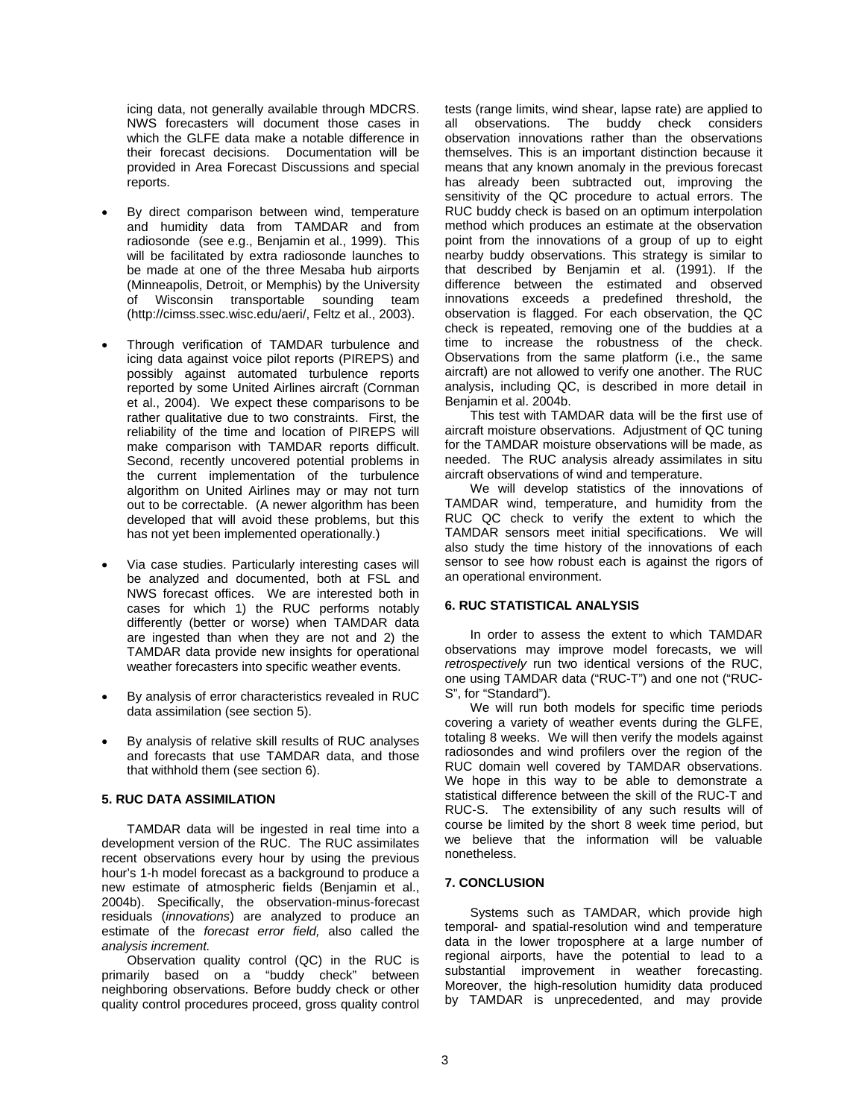icing data, not generally available through MDCRS. NWS forecasters will document those cases in which the GLFE data make a notable difference in their forecast decisions. Documentation will be provided in Area Forecast Discussions and special reports.

- By direct comparison between wind, temperature and humidity data from TAMDAR and from radiosonde (see e.g., Benjamin et al., 1999). This will be facilitated by extra radiosonde launches to be made at one of the three Mesaba hub airports (Minneapolis, Detroit, or Memphis) by the University of Wisconsin transportable sounding team (http://cimss.ssec.wisc.edu/aeri/, Feltz et al., 2003).
- Through verification of TAMDAR turbulence and icing data against voice pilot reports (PIREPS) and possibly against automated turbulence reports reported by some United Airlines aircraft (Cornman et al., 2004). We expect these comparisons to be rather qualitative due to two constraints. First, the reliability of the time and location of PIREPS will make comparison with TAMDAR reports difficult. Second, recently uncovered potential problems in the current implementation of the turbulence algorithm on United Airlines may or may not turn out to be correctable. (A newer algorithm has been developed that will avoid these problems, but this has not yet been implemented operationally.)
- Via case studies. Particularly interesting cases will be analyzed and documented, both at FSL and NWS forecast offices. We are interested both in cases for which 1) the RUC performs notably differently (better or worse) when TAMDAR data are ingested than when they are not and 2) the TAMDAR data provide new insights for operational weather forecasters into specific weather events.
- By analysis of error characteristics revealed in RUC data assimilation (see section 5).
- By analysis of relative skill results of RUC analyses and forecasts that use TAMDAR data, and those that withhold them (see section 6).

## **5. RUC DATA ASSIMILATION**

TAMDAR data will be ingested in real time into a development version of the RUC. The RUC assimilates recent observations every hour by using the previous hour's 1-h model forecast as a background to produce a new estimate of atmospheric fields (Benjamin et al., 2004b). Specifically, the observation-minus-forecast residuals (*innovations*) are analyzed to produce an estimate of the *forecast error field,* also called the *analysis increment.* 

Observation quality control (QC) in the RUC is primarily based on a "buddy check" between neighboring observations. Before buddy check or other quality control procedures proceed, gross quality control

tests (range limits, wind shear, lapse rate) are applied to all observations. The buddy check considers observation innovations rather than the observations themselves. This is an important distinction because it means that any known anomaly in the previous forecast has already been subtracted out, improving the sensitivity of the QC procedure to actual errors. The RUC buddy check is based on an optimum interpolation method which produces an estimate at the observation point from the innovations of a group of up to eight nearby buddy observations. This strategy is similar to that described by Benjamin et al. (1991). If the difference between the estimated and observed innovations exceeds a predefined threshold, the observation is flagged. For each observation, the QC check is repeated, removing one of the buddies at a time to increase the robustness of the check. Observations from the same platform (i.e., the same aircraft) are not allowed to verify one another. The RUC analysis, including QC, is described in more detail in Benjamin et al. 2004b.

This test with TAMDAR data will be the first use of aircraft moisture observations. Adjustment of QC tuning for the TAMDAR moisture observations will be made, as needed. The RUC analysis already assimilates in situ aircraft observations of wind and temperature.

We will develop statistics of the innovations of TAMDAR wind, temperature, and humidity from the RUC QC check to verify the extent to which the TAMDAR sensors meet initial specifications. We will also study the time history of the innovations of each sensor to see how robust each is against the rigors of an operational environment.

### **6. RUC STATISTICAL ANALYSIS**

In order to assess the extent to which TAMDAR observations may improve model forecasts, we will *retrospectively* run two identical versions of the RUC, one using TAMDAR data ("RUC-T") and one not ("RUC-S", for "Standard").

We will run both models for specific time periods covering a variety of weather events during the GLFE, totaling 8 weeks. We will then verify the models against radiosondes and wind profilers over the region of the RUC domain well covered by TAMDAR observations. We hope in this way to be able to demonstrate a statistical difference between the skill of the RUC-T and RUC-S. The extensibility of any such results will of course be limited by the short 8 week time period, but we believe that the information will be valuable nonetheless.

### **7. CONCLUSION**

Systems such as TAMDAR, which provide high temporal- and spatial-resolution wind and temperature data in the lower troposphere at a large number of regional airports, have the potential to lead to a substantial improvement in weather forecasting. Moreover, the high-resolution humidity data produced by TAMDAR is unprecedented, and may provide